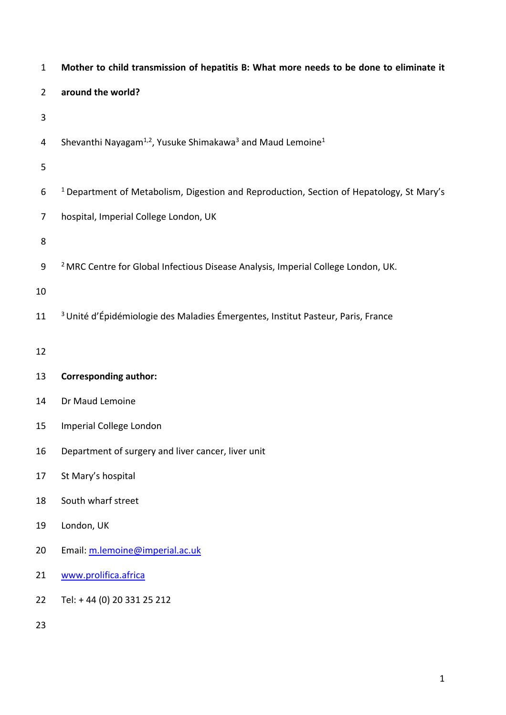| $\mathbf{1}$   | Mother to child transmission of hepatitis B: What more needs to be done to eliminate it             |
|----------------|-----------------------------------------------------------------------------------------------------|
| $\overline{2}$ | around the world?                                                                                   |
| $\mathbf{3}$   |                                                                                                     |
| 4              | Shevanthi Nayagam <sup>1,2</sup> , Yusuke Shimakawa <sup>3</sup> and Maud Lemoine <sup>1</sup>      |
| 5              |                                                                                                     |
| 6              | <sup>1</sup> Department of Metabolism, Digestion and Reproduction, Section of Hepatology, St Mary's |
| 7              | hospital, Imperial College London, UK                                                               |
| 8              |                                                                                                     |
| 9              | <sup>2</sup> MRC Centre for Global Infectious Disease Analysis, Imperial College London, UK.        |
| 10             |                                                                                                     |
| 11             | <sup>3</sup> Unité d'Épidémiologie des Maladies Émergentes, Institut Pasteur, Paris, France         |
| 12             |                                                                                                     |
| 13             | <b>Corresponding author:</b>                                                                        |
| 14             | Dr Maud Lemoine                                                                                     |
| 15             | Imperial College London                                                                             |
| 16             | Department of surgery and liver cancer, liver unit                                                  |
| 17             | St Mary's hospital                                                                                  |
| 18             | South wharf street                                                                                  |
| 19             | London, UK                                                                                          |
| 20             | Email: m.lemoine@imperial.ac.uk                                                                     |
| 21             | www.prolifica.africa                                                                                |
| 22             | Tel: +44 (0) 20 331 25 212                                                                          |
| 23             |                                                                                                     |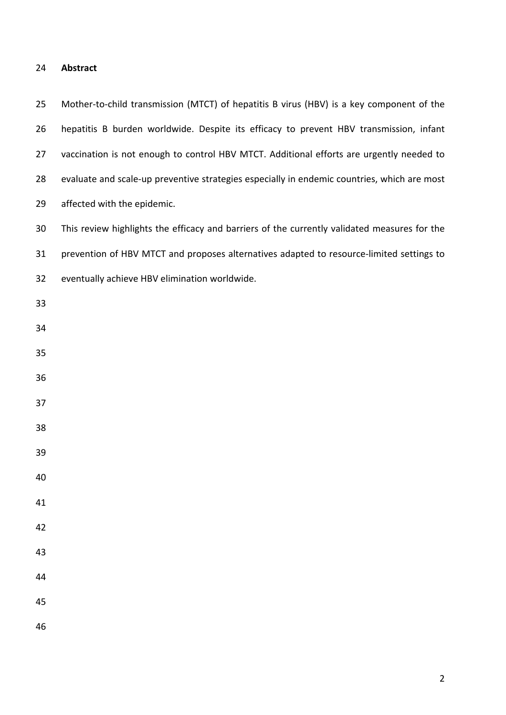### **Abstract**

 Mother-to-child transmission (MTCT) of hepatitis B virus (HBV) is a key component of the hepatitis B burden worldwide. Despite its efficacy to prevent HBV transmission, infant 27 vaccination is not enough to control HBV MTCT. Additional efforts are urgently needed to evaluate and scale-up preventive strategies especially in endemic countries, which are most affected with the epidemic. This review highlights the efficacy and barriers of the currently validated measures for the prevention of HBV MTCT and proposes alternatives adapted to resource-limited settings to eventually achieve HBV elimination worldwide.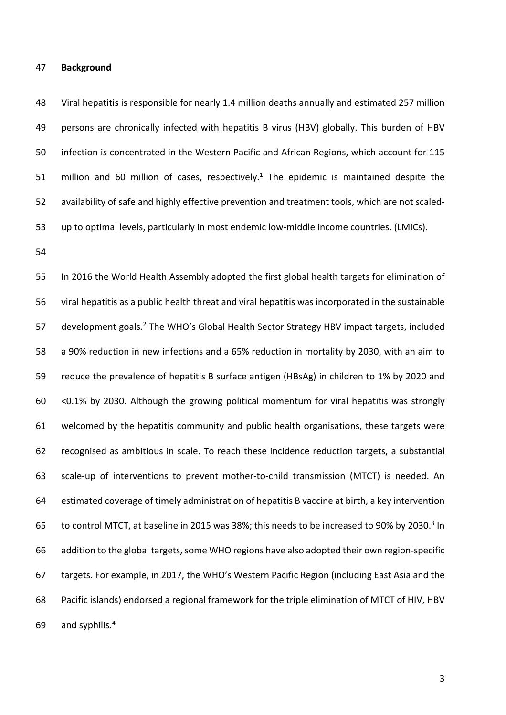#### **Background**

 Viral hepatitis is responsible for nearly 1.4 million deaths annually and estimated 257 million persons are chronically infected with hepatitis B virus (HBV) globally. This burden of HBV infection is concentrated in the Western Pacific and African Regions, which account for 115 51 million and 60 million of cases, respectively.<sup>1</sup> The epidemic is maintained despite the availability of safe and highly effective prevention and treatment tools, which are not scaled-up to optimal levels, particularly in most endemic low-middle income countries. (LMICs).

 In 2016 the World Health Assembly adopted the first global health targets for elimination of viral hepatitis as a public health threat and viral hepatitis was incorporated in the sustainable 57 development goals.<sup>2</sup> The WHO's Global Health Sector Strategy HBV impact targets, included a 90% reduction in new infections and a 65% reduction in mortality by 2030, with an aim to reduce the prevalence of hepatitis B surface antigen (HBsAg) in children to 1% by 2020 and <0.1% by 2030. Although the growing political momentum for viral hepatitis was strongly welcomed by the hepatitis community and public health organisations, these targets were recognised as ambitious in scale. To reach these incidence reduction targets, a substantial scale-up of interventions to prevent mother-to-child transmission (MTCT) is needed. An estimated coverage of timely administration of hepatitis B vaccine at birth, a key intervention 65 to control MTCT, at baseline in 2015 was 38%; this needs to be increased to 90% by 2030.<sup>3</sup> In 66 addition to the global targets, some WHO regions have also adopted their own region-specific targets. For example, in 2017, the WHO's Western Pacific Region (including East Asia and the Pacific islands) endorsed a regional framework for the triple elimination of MTCT of HIV, HBV 69 and syphilis.<sup>4</sup>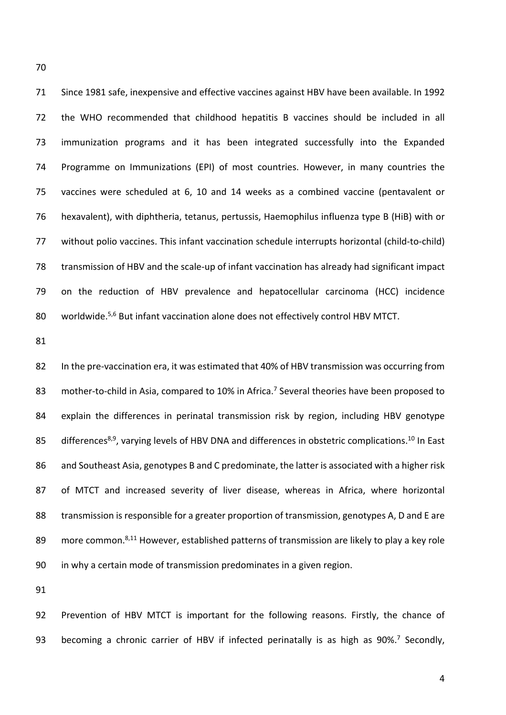Since 1981 safe, inexpensive and effective vaccines against HBV have been available. In 1992 the WHO recommended that childhood hepatitis B vaccines should be included in all immunization programs and it has been integrated successfully into the Expanded Programme on Immunizations (EPI) of most countries. However, in many countries the vaccines were scheduled at 6, 10 and 14 weeks as a combined vaccine (pentavalent or hexavalent), with diphtheria, tetanus, pertussis, Haemophilus influenza type B (HiB) with or without polio vaccines. This infant vaccination schedule interrupts horizontal (child-to-child) transmission of HBV and the scale-up of infant vaccination has already had significant impact on the reduction of HBV prevalence and hepatocellular carcinoma (HCC) incidence 80 worldwide.<sup>5,6</sup> But infant vaccination alone does not effectively control HBV MTCT.

 In the pre-vaccination era, it was estimated that 40% of HBV transmission was occurring from 83 mother-to-child in Asia, compared to 10% in Africa.<sup>7</sup> Several theories have been proposed to explain the differences in perinatal transmission risk by region, including HBV genotype 85 differences<sup>8,9</sup>, varying levels of HBV DNA and differences in obstetric complications.<sup>10</sup> In East 86 and Southeast Asia, genotypes B and C predominate, the latter is associated with a higher risk of MTCT and increased severity of liver disease, whereas in Africa, where horizontal 88 transmission is responsible for a greater proportion of transmission, genotypes A, D and E are 89 more common.<sup>8,11</sup> However, established patterns of transmission are likely to play a key role in why a certain mode of transmission predominates in a given region.

 Prevention of HBV MTCT is important for the following reasons. Firstly, the chance of 93 becoming a chronic carrier of HBV if infected perinatally is as high as 90%.<sup>7</sup> Secondly,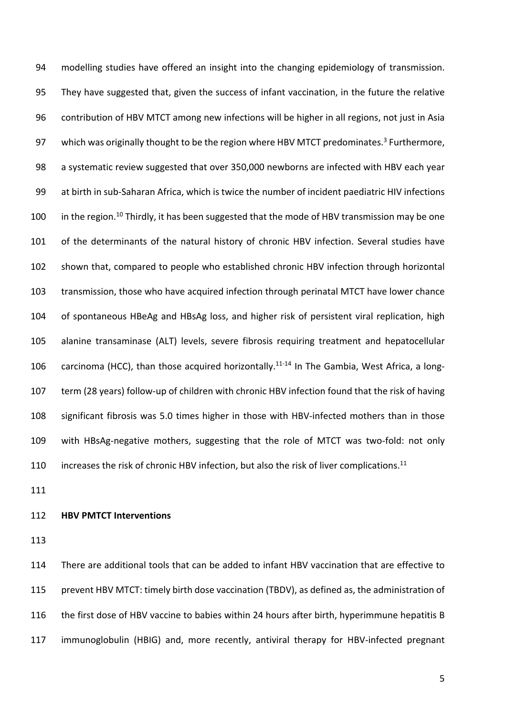modelling studies have offered an insight into the changing epidemiology of transmission. They have suggested that, given the success of infant vaccination, in the future the relative contribution of HBV MTCT among new infections will be higher in all regions, not just in Asia 97 which was originally thought to be the region where HBV MTCT predominates.<sup>3</sup> Furthermore, a systematic review suggested that over 350,000 newborns are infected with HBV each year at birth in sub-Saharan Africa, which is twice the number of incident paediatric HIV infections 100 in the region.<sup>10</sup> Thirdly, it has been suggested that the mode of HBV transmission may be one of the determinants of the natural history of chronic HBV infection. Several studies have shown that, compared to people who established chronic HBV infection through horizontal transmission, those who have acquired infection through perinatal MTCT have lower chance of spontaneous HBeAg and HBsAg loss, and higher risk of persistent viral replication, high alanine transaminase (ALT) levels, severe fibrosis requiring treatment and hepatocellular 106 carcinoma (HCC), than those acquired horizontally.<sup>11-14</sup> In The Gambia, West Africa, a long- term (28 years) follow-up of children with chronic HBV infection found that the risk of having significant fibrosis was 5.0 times higher in those with HBV-infected mothers than in those with HBsAg-negative mothers, suggesting that the role of MTCT was two-fold: not only 110 increases the risk of chronic HBV infection, but also the risk of liver complications.<sup>11</sup>

# **HBV PMTCT Interventions**

 There are additional tools that can be added to infant HBV vaccination that are effective to prevent HBV MTCT: timely birth dose vaccination (TBDV), as defined as, the administration of the first dose of HBV vaccine to babies within 24 hours after birth, hyperimmune hepatitis B immunoglobulin (HBIG) and, more recently, antiviral therapy for HBV-infected pregnant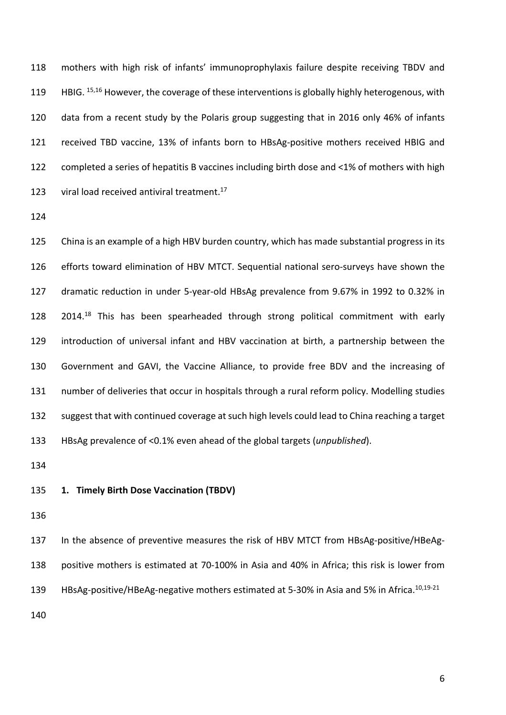mothers with high risk of infants' immunoprophylaxis failure despite receiving TBDV and 119 HBIG. 15,16 However, the coverage of these interventions is globally highly heterogenous, with data from a recent study by the Polaris group suggesting that in 2016 only 46% of infants received TBD vaccine, 13% of infants born to HBsAg-positive mothers received HBIG and completed a series of hepatitis B vaccines including birth dose and <1% of mothers with high 123 viral load received antiviral treatment.

 China is an example of a high HBV burden country, which has made substantial progress in its efforts toward elimination of HBV MTCT. Sequential national sero-surveys have shown the dramatic reduction in under 5-year-old HBsAg prevalence from 9.67% in 1992 to 0.32% in 128 2014.<sup>18</sup> This has been spearheaded through strong political commitment with early introduction of universal infant and HBV vaccination at birth, a partnership between the Government and GAVI, the Vaccine Alliance, to provide free BDV and the increasing of number of deliveries that occur in hospitals through a rural reform policy. Modelling studies suggest that with continued coverage at such high levels could lead to China reaching a target HBsAg prevalence of <0.1% even ahead of the global targets (*unpublished*).

**1. Timely Birth Dose Vaccination (TBDV)**

 In the absence of preventive measures the risk of HBV MTCT from HBsAg-positive/HBeAg- positive mothers is estimated at 70-100% in Asia and 40% in Africa; this risk is lower from 139 HBsAg-positive/HBeAg-negative mothers estimated at 5-30% in Asia and 5% in Africa.<sup>10,19-21</sup>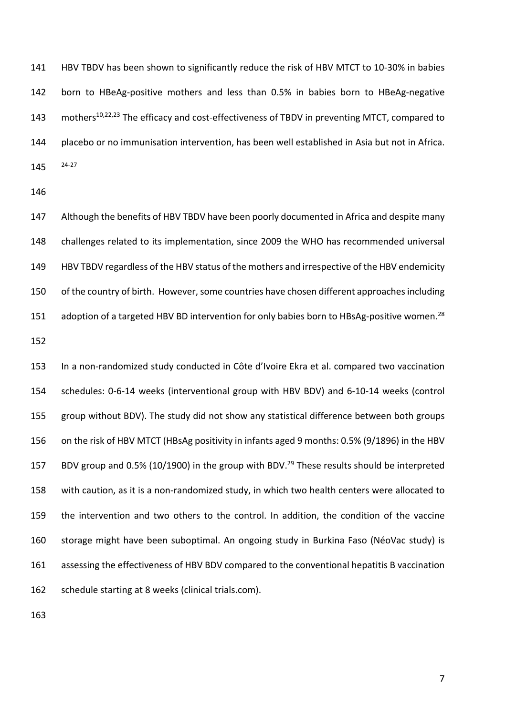HBV TBDV has been shown to significantly reduce the risk of HBV MTCT to 10-30% in babies born to HBeAg-positive mothers and less than 0.5% in babies born to HBeAg-negative 143 mothers<sup>10,22,23</sup> The efficacy and cost-effectiveness of TBDV in preventing MTCT, compared to placebo or no immunisation intervention, has been well established in Asia but not in Africa. 24-27

 Although the benefits of HBV TBDV have been poorly documented in Africa and despite many challenges related to its implementation, since 2009 the WHO has recommended universal HBV TBDV regardless of the HBV status of the mothers and irrespective of the HBV endemicity 150 of the country of birth. However, some countries have chosen different approaches including adoption of a targeted HBV BD intervention for only babies born to HBsAg-positive women.<sup>28</sup>

 In a non-randomized study conducted in Côte d'Ivoire Ekra et al. compared two vaccination schedules: 0-6-14 weeks (interventional group with HBV BDV) and 6-10-14 weeks (control group without BDV). The study did not show any statistical difference between both groups on the risk of HBV MTCT (HBsAg positivity in infants aged 9 months: 0.5% (9/1896) in the HBV 157 BDV group and 0.5% (10/1900) in the group with BDV.<sup>29</sup> These results should be interpreted with caution, as it is a non-randomized study, in which two health centers were allocated to the intervention and two others to the control. In addition, the condition of the vaccine storage might have been suboptimal. An ongoing study in Burkina Faso (NéoVac study) is assessing the effectiveness of HBV BDV compared to the conventional hepatitis B vaccination schedule starting at 8 weeks (clinical trials.com).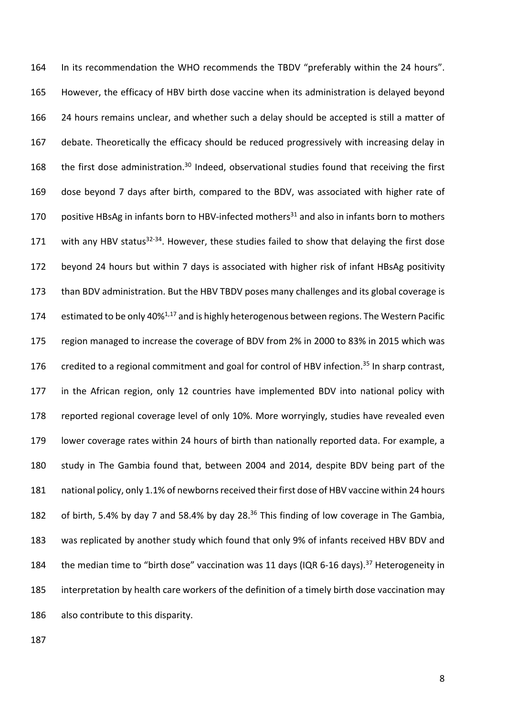In its recommendation the WHO recommends the TBDV "preferably within the 24 hours". However, the efficacy of HBV birth dose vaccine when its administration is delayed beyond 24 hours remains unclear, and whether such a delay should be accepted is still a matter of debate. Theoretically the efficacy should be reduced progressively with increasing delay in 168 the first dose administration.<sup>30</sup> Indeed, observational studies found that receiving the first dose beyond 7 days after birth, compared to the BDV, was associated with higher rate of 170 positive HBsAg in infants born to HBV-infected mothers<sup>31</sup> and also in infants born to mothers 171 with any HBV status<sup>32-34</sup>. However, these studies failed to show that delaying the first dose beyond 24 hours but within 7 days is associated with higher risk of infant HBsAg positivity 173 than BDV administration. But the HBV TBDV poses many challenges and its global coverage is 174 estimated to be only 40%<sup>1,17</sup> and is highly heterogenous between regions. The Western Pacific region managed to increase the coverage of BDV from 2% in 2000 to 83% in 2015 which was 176 credited to a regional commitment and goal for control of HBV infection.<sup>35</sup> In sharp contrast, in the African region, only 12 countries have implemented BDV into national policy with reported regional coverage level of only 10%. More worryingly, studies have revealed even lower coverage rates within 24 hours of birth than nationally reported data. For example, a study in The Gambia found that, between 2004 and 2014, despite BDV being part of the national policy, only 1.1% of newborns received their first dose of HBV vaccine within 24 hours 182 of birth, 5.4% by day 7 and 58.4% by day 28.<sup>36</sup> This finding of low coverage in The Gambia, was replicated by another study which found that only 9% of infants received HBV BDV and 184 the median time to "birth dose" vaccination was 11 days (IQR 6-16 days).<sup>37</sup> Heterogeneity in interpretation by health care workers of the definition of a timely birth dose vaccination may also contribute to this disparity.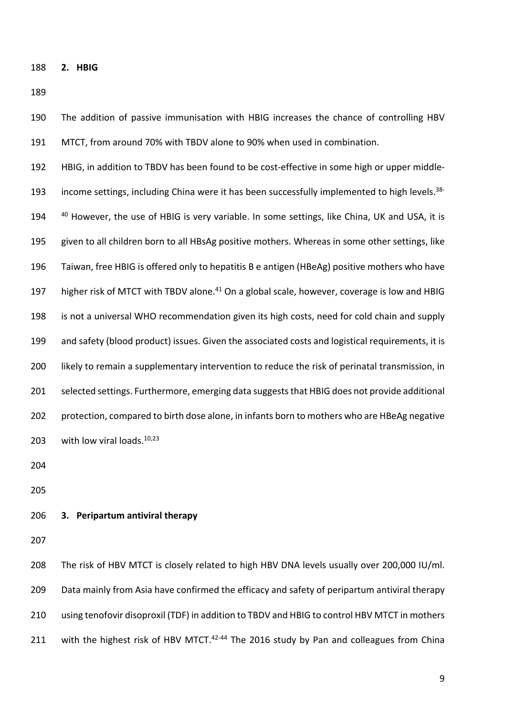**2. HBIG**

 MTCT, from around 70% with TBDV alone to 90% when used in combination. HBIG, in addition to TBDV has been found to be cost-effective in some high or upper middle-193 income settings, including China were it has been successfully implemented to high levels.<sup>38-</sup> 194 <sup>40</sup> However, the use of HBIG is very variable. In some settings, like China, UK and USA, it is given to all children born to all HBsAg positive mothers. Whereas in some other settings, like Taiwan, free HBIG is offered only to hepatitis B e antigen (HBeAg) positive mothers who have 197 higher risk of MTCT with TBDV alone.<sup>41</sup> On a global scale, however, coverage is low and HBIG is not a universal WHO recommendation given its high costs, need for cold chain and supply and safety (blood product) issues. Given the associated costs and logistical requirements, it is 200 likely to remain a supplementary intervention to reduce the risk of perinatal transmission, in selected settings. Furthermore, emerging data suggests that HBIG does not provide additional protection, compared to birth dose alone, in infants born to mothers who are HBeAg negative 203 with low viral loads. $10,23$ 

The addition of passive immunisation with HBIG increases the chance of controlling HBV

# **3. Peripartum antiviral therapy**

 The risk of HBV MTCT is closely related to high HBV DNA levels usually over 200,000 IU/ml. Data mainly from Asia have confirmed the efficacy and safety of peripartum antiviral therapy using tenofovir disoproxil (TDF) in addition to TBDV and HBIG to control HBV MTCT in mothers 211 with the highest risk of HBV MTCT. $42-44$  The 2016 study by Pan and colleagues from China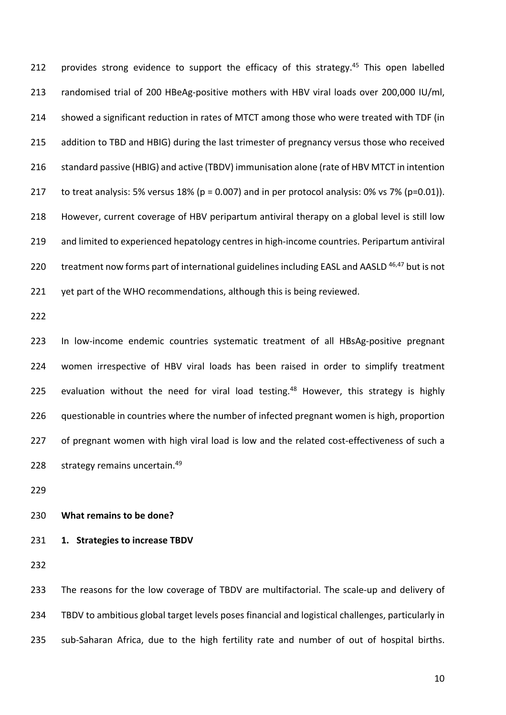212 provides strong evidence to support the efficacy of this strategy.<sup>45</sup> This open labelled randomised trial of 200 HBeAg-positive mothers with HBV viral loads over 200,000 IU/ml, showed a significant reduction in rates of MTCT among those who were treated with TDF (in 215 addition to TBD and HBIG) during the last trimester of pregnancy versus those who received standard passive (HBIG) and active (TBDV) immunisation alone (rate of HBV MTCT in intention to treat analysis: 5% versus 18% (p = 0.007) and in per protocol analysis: 0% vs 7% (p=0.01)). However, current coverage of HBV peripartum antiviral therapy on a global level is still low and limited to experienced hepatology centres in high-income countries. Peripartum antiviral 220 treatment now forms part of international guidelines including EASL and AASLD  $46,47$  but is not 221 yet part of the WHO recommendations, although this is being reviewed.

 In low-income endemic countries systematic treatment of all HBsAg-positive pregnant women irrespective of HBV viral loads has been raised in order to simplify treatment 225 evaluation without the need for viral load testing.<sup>48</sup> However, this strategy is highly questionable in countries where the number of infected pregnant women is high, proportion 227 of pregnant women with high viral load is low and the related cost-effectiveness of such a 228 strategy remains uncertain.<sup>49</sup>

# **What remains to be done?**

**1. Strategies to increase TBDV**

233 The reasons for the low coverage of TBDV are multifactorial. The scale-up and delivery of TBDV to ambitious global target levels poses financial and logistical challenges, particularly in sub-Saharan Africa, due to the high fertility rate and number of out of hospital births.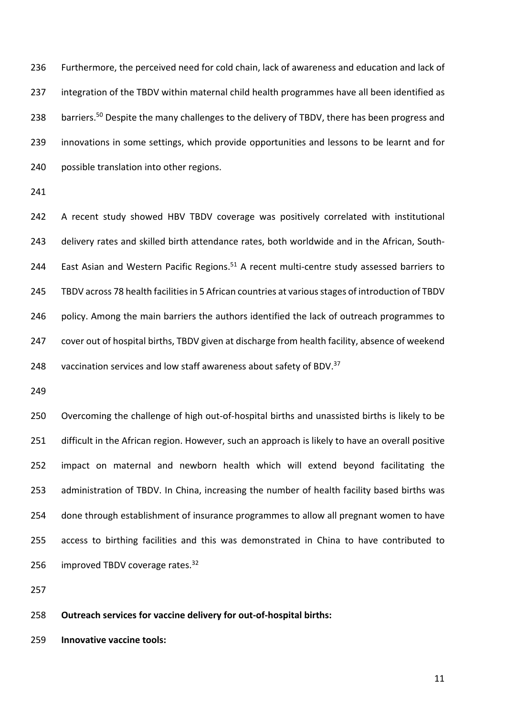Furthermore, the perceived need for cold chain, lack of awareness and education and lack of 237 integration of the TBDV within maternal child health programmes have all been identified as 238 barriers.<sup>50</sup> Despite the many challenges to the delivery of TBDV, there has been progress and innovations in some settings, which provide opportunities and lessons to be learnt and for possible translation into other regions.

 A recent study showed HBV TBDV coverage was positively correlated with institutional delivery rates and skilled birth attendance rates, both worldwide and in the African, South-244 East Asian and Western Pacific Regions.<sup>51</sup> A recent multi-centre study assessed barriers to TBDV across 78 health facilities in 5 African countries at various stages of introduction of TBDV 246 policy. Among the main barriers the authors identified the lack of outreach programmes to cover out of hospital births, TBDV given at discharge from health facility, absence of weekend 248 vaccination services and low staff awareness about safety of BDV.

 Overcoming the challenge of high out-of-hospital births and unassisted births is likely to be difficult in the African region. However, such an approach is likely to have an overall positive impact on maternal and newborn health which will extend beyond facilitating the administration of TBDV. In China, increasing the number of health facility based births was done through establishment of insurance programmes to allow all pregnant women to have access to birthing facilities and this was demonstrated in China to have contributed to 256 improved TBDV coverage rates.

**Outreach services for vaccine delivery for out-of-hospital births:** 

**Innovative vaccine tools:**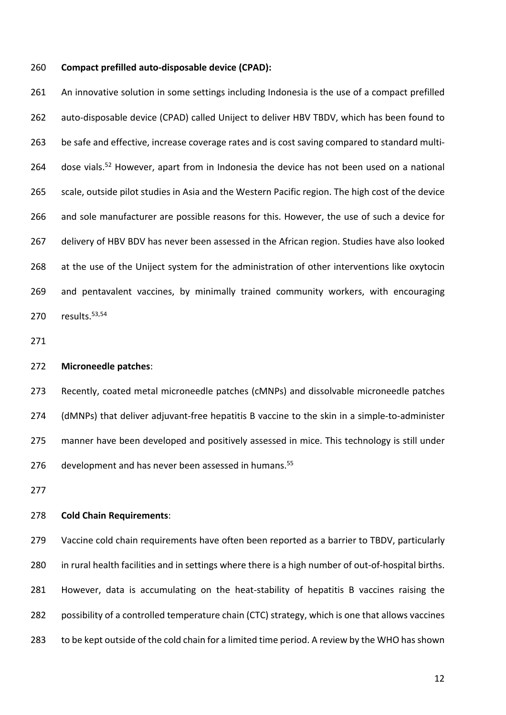#### **Compact prefilled auto-disposable device (CPAD):**

261 An innovative solution in some settings including Indonesia is the use of a compact prefilled auto-disposable device (CPAD) called Uniject to deliver HBV TBDV, which has been found to be safe and effective, increase coverage rates and is cost saving compared to standard multi-264 dose vials.<sup>52</sup> However, apart from in Indonesia the device has not been used on a national 265 scale, outside pilot studies in Asia and the Western Pacific region. The high cost of the device and sole manufacturer are possible reasons for this. However, the use of such a device for 267 delivery of HBV BDV has never been assessed in the African region. Studies have also looked at the use of the Uniject system for the administration of other interventions like oxytocin and pentavalent vaccines, by minimally trained community workers, with encouraging 270 results. 53,54

#### **Microneedle patches**:

 Recently, coated metal microneedle patches (cMNPs) and dissolvable microneedle patches (dMNPs) that deliver adjuvant-free hepatitis B vaccine to the skin in a simple-to-administer 275 manner have been developed and positively assessed in mice. This technology is still under 276 development and has never been assessed in humans.<sup>55</sup>

# **Cold Chain Requirements**:

 Vaccine cold chain requirements have often been reported as a barrier to TBDV, particularly in rural health facilities and in settings where there is a high number of out-of-hospital births. However, data is accumulating on the heat-stability of hepatitis B vaccines raising the possibility of a controlled temperature chain (CTC) strategy, which is one that allows vaccines to be kept outside of the cold chain for a limited time period. A review by the WHO has shown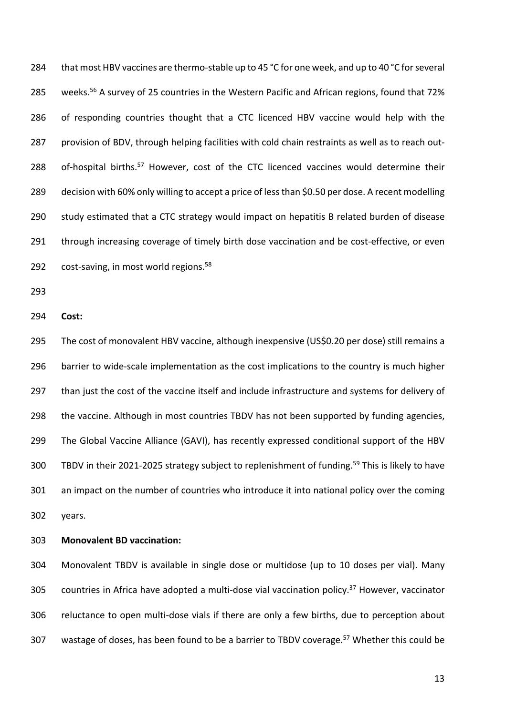284 that most HBV vaccines are thermo-stable up to 45 °C for one week, and up to 40 °C for several 285 weeks.<sup>56</sup> A survey of 25 countries in the Western Pacific and African regions, found that 72% 286 of responding countries thought that a CTC licenced HBV vaccine would help with the 287 provision of BDV, through helping facilities with cold chain restraints as well as to reach out-288 of-hospital births.<sup>57</sup> However, cost of the CTC licenced vaccines would determine their 289 decision with 60% only willing to accept a price of less than \$0.50 per dose. A recent modelling 290 study estimated that a CTC strategy would impact on hepatitis B related burden of disease 291 through increasing coverage of timely birth dose vaccination and be cost-effective, or even 292 cost-saving, in most world regions.<sup>58</sup>

293

294 **Cost:**

295 The cost of monovalent HBV vaccine, although inexpensive (US\$0.20 per dose) still remains a 296 barrier to wide-scale implementation as the cost implications to the country is much higher 297 than just the cost of the vaccine itself and include infrastructure and systems for delivery of 298 the vaccine. Although in most countries TBDV has not been supported by funding agencies, 299 The Global Vaccine Alliance (GAVI), has recently expressed conditional support of the HBV 300 TBDV in their 2021-2025 strategy subject to replenishment of funding.<sup>59</sup> This is likely to have 301 an impact on the number of countries who introduce it into national policy over the coming 302 years.

303 **Monovalent BD vaccination:**

304 Monovalent TBDV is available in single dose or multidose (up to 10 doses per vial). Many 305 countries in Africa have adopted a multi-dose vial vaccination policy.<sup>37</sup> However, vaccinator 306 reluctance to open multi-dose vials if there are only a few births, due to perception about 307 wastage of doses, has been found to be a barrier to TBDV coverage.<sup>57</sup> Whether this could be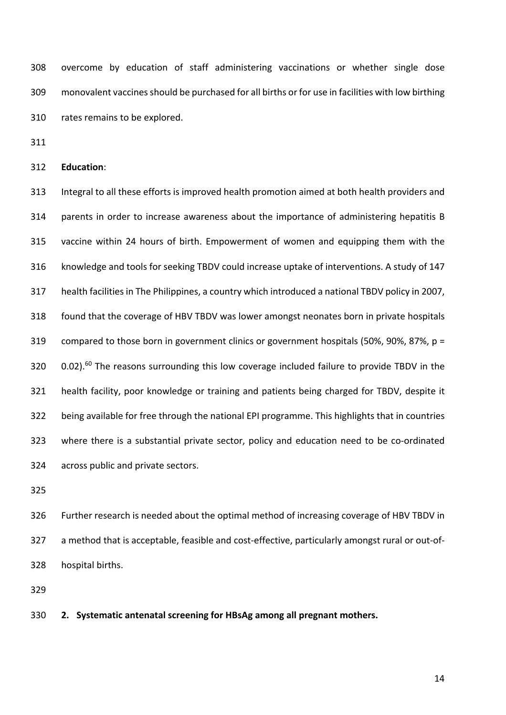overcome by education of staff administering vaccinations or whether single dose monovalent vaccines should be purchased for all births or for use in facilities with low birthing rates remains to be explored.

**Education**:

 Integral to all these efforts is improved health promotion aimed at both health providers and parents in order to increase awareness about the importance of administering hepatitis B vaccine within 24 hours of birth. Empowerment of women and equipping them with the knowledge and tools for seeking TBDV could increase uptake of interventions. A study of 147 health facilities in The Philippines, a country which introduced a national TBDV policy in 2007, found that the coverage of HBV TBDV was lower amongst neonates born in private hospitals compared to those born in government clinics or government hospitals (50%, 90%, 87%, p = 320 0.02).<sup>60</sup> The reasons surrounding this low coverage included failure to provide TBDV in the health facility, poor knowledge or training and patients being charged for TBDV, despite it being available for free through the national EPI programme. This highlights that in countries where there is a substantial private sector, policy and education need to be co-ordinated across public and private sectors.

 Further research is needed about the optimal method of increasing coverage of HBV TBDV in a method that is acceptable, feasible and cost-effective, particularly amongst rural or out-of-hospital births.

**2. Systematic antenatal screening for HBsAg among all pregnant mothers.**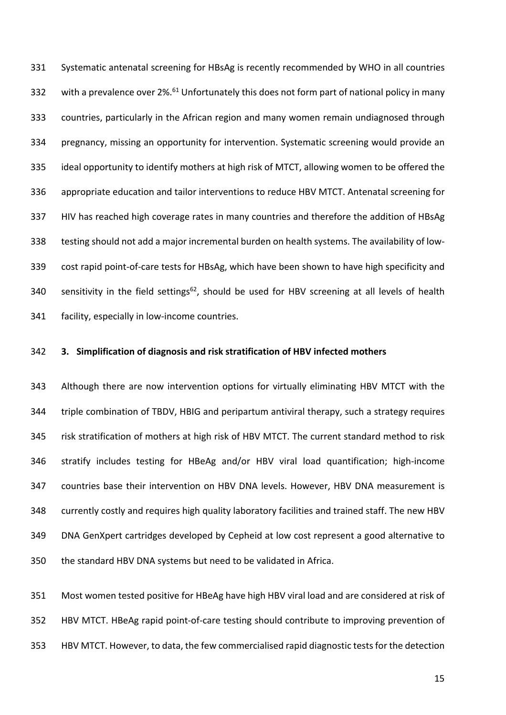Systematic antenatal screening for HBsAg is recently recommended by WHO in all countries 332 with a prevalence over 2%.<sup>61</sup> Unfortunately this does not form part of national policy in many countries, particularly in the African region and many women remain undiagnosed through pregnancy, missing an opportunity for intervention. Systematic screening would provide an ideal opportunity to identify mothers at high risk of MTCT, allowing women to be offered the appropriate education and tailor interventions to reduce HBV MTCT. Antenatal screening for HIV has reached high coverage rates in many countries and therefore the addition of HBsAg testing should not add a major incremental burden on health systems. The availability of low- cost rapid point-of-care tests for HBsAg, which have been shown to have high specificity and 340 sensitivity in the field settings<sup>62</sup>, should be used for HBV screening at all levels of health facility, especially in low-income countries.

#### **3. Simplification of diagnosis and risk stratification of HBV infected mothers**

 Although there are now intervention options for virtually eliminating HBV MTCT with the triple combination of TBDV, HBIG and peripartum antiviral therapy, such a strategy requires risk stratification of mothers at high risk of HBV MTCT. The current standard method to risk stratify includes testing for HBeAg and/or HBV viral load quantification; high-income countries base their intervention on HBV DNA levels. However, HBV DNA measurement is currently costly and requires high quality laboratory facilities and trained staff. The new HBV DNA GenXpert cartridges developed by Cepheid at low cost represent a good alternative to the standard HBV DNA systems but need to be validated in Africa.

 Most women tested positive for HBeAg have high HBV viral load and are considered at risk of HBV MTCT. HBeAg rapid point-of-care testing should contribute to improving prevention of HBV MTCT. However, to data, the few commercialised rapid diagnostic tests for the detection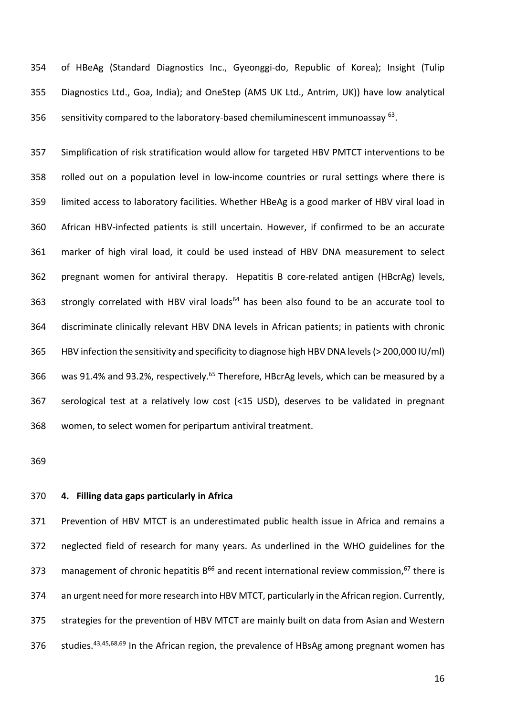of HBeAg (Standard Diagnostics Inc., Gyeonggi-do, Republic of Korea); Insight (Tulip Diagnostics Ltd., Goa, India); and OneStep (AMS UK Ltd., Antrim, UK)) have low analytical 356 sensitivity compared to the laboratory-based chemiluminescent immunoassay .

 Simplification of risk stratification would allow for targeted HBV PMTCT interventions to be rolled out on a population level in low-income countries or rural settings where there is limited access to laboratory facilities. Whether HBeAg is a good marker of HBV viral load in African HBV-infected patients is still uncertain. However, if confirmed to be an accurate marker of high viral load, it could be used instead of HBV DNA measurement to select pregnant women for antiviral therapy. Hepatitis B core-related antigen (HBcrAg) levels, 363 strongly correlated with HBV viral loads $<sup>64</sup>$  has been also found to be an accurate tool to</sup> discriminate clinically relevant HBV DNA levels in African patients; in patients with chronic HBV infection the sensitivity and specificity to diagnose high HBV DNA levels (> 200,000 IU/ml) 366 was 91.4% and 93.2%, respectively.<sup>65</sup> Therefore, HBcrAg levels, which can be measured by a serological test at a relatively low cost (<15 USD), deserves to be validated in pregnant women, to select women for peripartum antiviral treatment.

# **4. Filling data gaps particularly in Africa**

 Prevention of HBV MTCT is an underestimated public health issue in Africa and remains a neglected field of research for many years. As underlined in the WHO guidelines for the 373 management of chronic hepatitis  $B^{66}$  and recent international review commission,  $67$  there is an urgent need for more research into HBV MTCT, particularly in the African region. Currently, strategies for the prevention of HBV MTCT are mainly built on data from Asian and Western 376 Studies.<sup>43,45,68,69</sup> In the African region, the prevalence of HBsAg among pregnant women has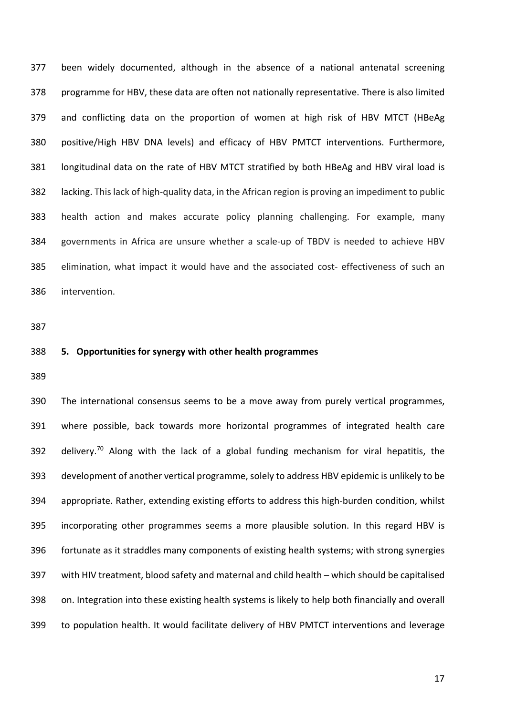been widely documented, although in the absence of a national antenatal screening programme for HBV, these data are often not nationally representative. There is also limited and conflicting data on the proportion of women at high risk of HBV MTCT (HBeAg positive/High HBV DNA levels) and efficacy of HBV PMTCT interventions. Furthermore, longitudinal data on the rate of HBV MTCT stratified by both HBeAg and HBV viral load is lacking. This lack of high-quality data, in the African region is proving an impediment to public health action and makes accurate policy planning challenging. For example, many governments in Africa are unsure whether a scale-up of TBDV is needed to achieve HBV elimination, what impact it would have and the associated cost- effectiveness of such an intervention.

#### **5. Opportunities for synergy with other health programmes**

 The international consensus seems to be a move away from purely vertical programmes, where possible, back towards more horizontal programmes of integrated health care 392 delivery.<sup>70</sup> Along with the lack of a global funding mechanism for viral hepatitis, the development of another vertical programme, solely to address HBV epidemic is unlikely to be appropriate. Rather, extending existing efforts to address this high-burden condition, whilst incorporating other programmes seems a more plausible solution. In this regard HBV is fortunate as it straddles many components of existing health systems; with strong synergies with HIV treatment, blood safety and maternal and child health – which should be capitalised on. Integration into these existing health systems is likely to help both financially and overall to population health. It would facilitate delivery of HBV PMTCT interventions and leverage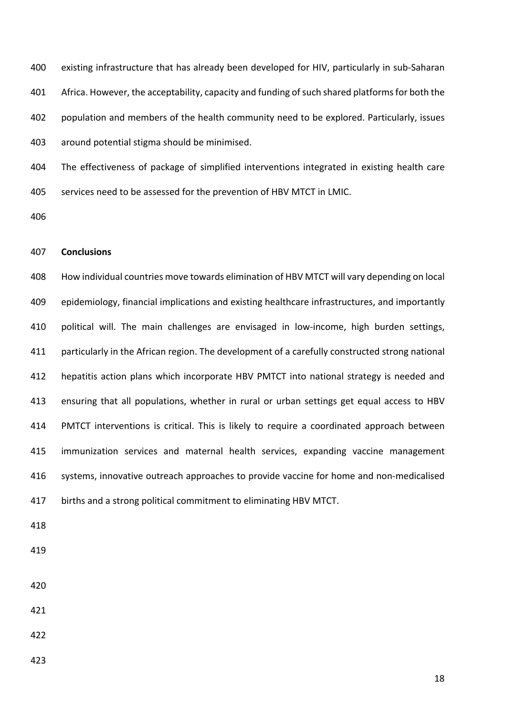existing infrastructure that has already been developed for HIV, particularly in sub-Saharan Africa. However, the acceptability, capacity and funding of such shared platforms for both the population and members of the health community need to be explored. Particularly, issues around potential stigma should be minimised.

 The effectiveness of package of simplified interventions integrated in existing health care services need to be assessed for the prevention of HBV MTCT in LMIC.

### **Conclusions**

 How individual countries move towards elimination of HBV MTCT will vary depending on local epidemiology, financial implications and existing healthcare infrastructures, and importantly political will. The main challenges are envisaged in low-income, high burden settings, particularly in the African region. The development of a carefully constructed strong national hepatitis action plans which incorporate HBV PMTCT into national strategy is needed and ensuring that all populations, whether in rural or urban settings get equal access to HBV PMTCT interventions is critical. This is likely to require a coordinated approach between immunization services and maternal health services, expanding vaccine management systems, innovative outreach approaches to provide vaccine for home and non-medicalised births and a strong political commitment to eliminating HBV MTCT.

- 
- 
-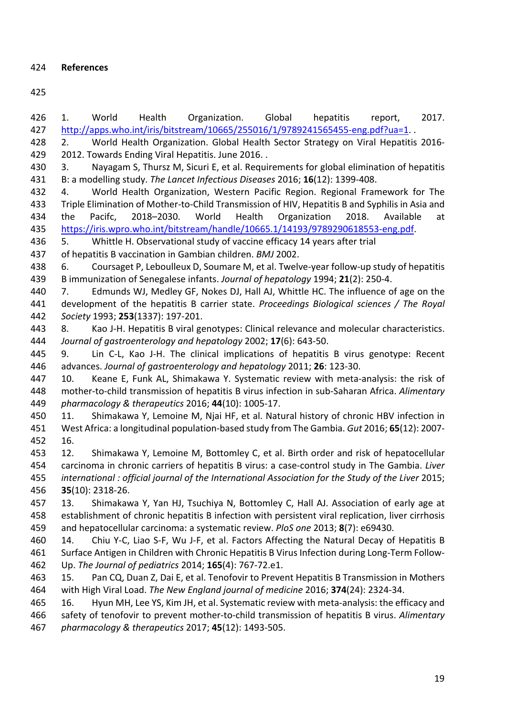**References**

 1. World Health Organization. Global hepatitis report, 2017. http://apps.who.int/iris/bitstream/10665/255016/1/9789241565455-eng.pdf?ua=1. . 2. World Health Organization. Global Health Sector Strategy on Viral Hepatitis 2016- 2012. Towards Ending Viral Hepatitis. June 2016. . 3. Nayagam S, Thursz M, Sicuri E, et al. Requirements for global elimination of hepatitis B: a modelling study. *The Lancet Infectious Diseases* 2016; **16**(12): 1399-408. 4. World Health Organization, Western Pacific Region. Regional Framework for The Triple Elimination of Mother-to-Child Transmission of HIV, Hepatitis B and Syphilis in Asia and the Pacifc, 2018–2030. World Health Organization 2018. Available at https://iris.wpro.who.int/bitstream/handle/10665.1/14193/9789290618553-eng.pdf. 5. Whittle H. Observational study of vaccine efficacy 14 years after trial of hepatitis B vaccination in Gambian children. *BMJ* 2002. 6. Coursaget P, Leboulleux D, Soumare M, et al. Twelve-year follow-up study of hepatitis B immunization of Senegalese infants. *Journal of hepatology* 1994; **21**(2): 250-4. 7. Edmunds WJ, Medley GF, Nokes DJ, Hall AJ, Whittle HC. The influence of age on the development of the hepatitis B carrier state. *Proceedings Biological sciences / The Royal Society* 1993; **253**(1337): 197-201. 8. Kao J-H. Hepatitis B viral genotypes: Clinical relevance and molecular characteristics. *Journal of gastroenterology and hepatology* 2002; **17**(6): 643-50. 9. Lin C-L, Kao J-H. The clinical implications of hepatitis B virus genotype: Recent advances. *Journal of gastroenterology and hepatology* 2011; **26**: 123-30. 10. Keane E, Funk AL, Shimakawa Y. Systematic review with meta-analysis: the risk of mother-to-child transmission of hepatitis B virus infection in sub-Saharan Africa. *Alimentary pharmacology & therapeutics* 2016; **44**(10): 1005-17. 11. Shimakawa Y, Lemoine M, Njai HF, et al. Natural history of chronic HBV infection in West Africa: a longitudinal population-based study from The Gambia. *Gut* 2016; **65**(12): 2007- 16. 12. Shimakawa Y, Lemoine M, Bottomley C, et al. Birth order and risk of hepatocellular carcinoma in chronic carriers of hepatitis B virus: a case-control study in The Gambia. *Liver international : official journal of the International Association for the Study of the Liver* 2015; **35**(10): 2318-26. 13. Shimakawa Y, Yan HJ, Tsuchiya N, Bottomley C, Hall AJ. Association of early age at establishment of chronic hepatitis B infection with persistent viral replication, liver cirrhosis and hepatocellular carcinoma: a systematic review. *PloS one* 2013; **8**(7): e69430. 14. Chiu Y-C, Liao S-F, Wu J-F, et al. Factors Affecting the Natural Decay of Hepatitis B Surface Antigen in Children with Chronic Hepatitis B Virus Infection during Long-Term Follow- Up. *The Journal of pediatrics* 2014; **165**(4): 767-72.e1. 15. Pan CQ, Duan Z, Dai E, et al. Tenofovir to Prevent Hepatitis B Transmission in Mothers with High Viral Load. *The New England journal of medicine* 2016; **374**(24): 2324-34. 16. Hyun MH, Lee YS, Kim JH, et al. Systematic review with meta-analysis: the efficacy and safety of tenofovir to prevent mother-to-child transmission of hepatitis B virus. *Alimentary pharmacology & therapeutics* 2017; **45**(12): 1493-505.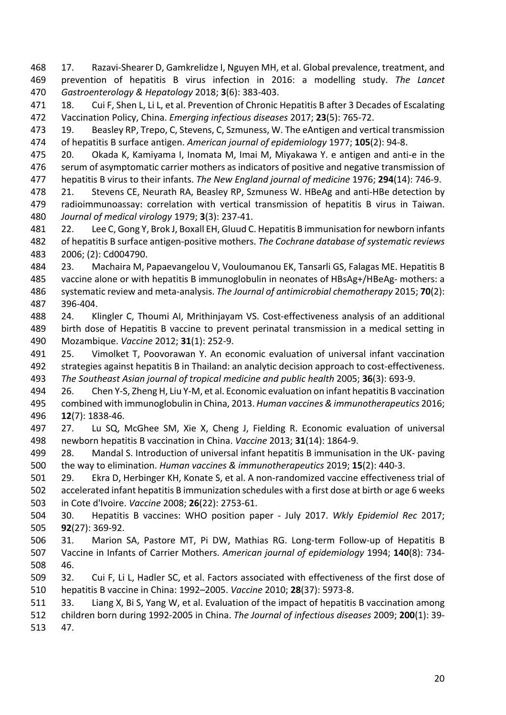17. Razavi-Shearer D, Gamkrelidze I, Nguyen MH, et al. Global prevalence, treatment, and prevention of hepatitis B virus infection in 2016: a modelling study. *The Lancet Gastroenterology & Hepatology* 2018; **3**(6): 383-403.

471 18. Cui F, Shen L, Li L, et al. Prevention of Chronic Hepatitis B after 3 Decades of Escalating Vaccination Policy, China. *Emerging infectious diseases* 2017; **23**(5): 765-72.

 19. Beasley RP, Trepo, C, Stevens, C, Szmuness, W. The eAntigen and vertical transmission of hepatitis B surface antigen. *American journal of epidemiology* 1977; **105**(2): 94-8.

 20. Okada K, Kamiyama I, Inomata M, Imai M, Miyakawa Y. e antigen and anti-e in the serum of asymptomatic carrier mothers as indicators of positive and negative transmission of hepatitis B virus to their infants. *The New England journal of medicine* 1976; **294**(14): 746-9.

 21. Stevens CE, Neurath RA, Beasley RP, Szmuness W. HBeAg and anti-HBe detection by radioimmunoassay: correlation with vertical transmission of hepatitis B virus in Taiwan. *Journal of medical virology* 1979; **3**(3): 237-41.

 22. Lee C, Gong Y, Brok J, Boxall EH, Gluud C. Hepatitis B immunisation for newborn infants of hepatitis B surface antigen-positive mothers. *The Cochrane database of systematic reviews* 2006; (2): Cd004790.

 23. Machaira M, Papaevangelou V, Vouloumanou EK, Tansarli GS, Falagas ME. Hepatitis B vaccine alone or with hepatitis B immunoglobulin in neonates of HBsAg+/HBeAg- mothers: a systematic review and meta-analysis. *The Journal of antimicrobial chemotherapy* 2015; **70**(2): 396-404.

 24. Klingler C, Thoumi AI, Mrithinjayam VS. Cost-effectiveness analysis of an additional birth dose of Hepatitis B vaccine to prevent perinatal transmission in a medical setting in Mozambique. *Vaccine* 2012; **31**(1): 252-9.

 25. Vimolket T, Poovorawan Y. An economic evaluation of universal infant vaccination strategies against hepatitis B in Thailand: an analytic decision approach to cost-effectiveness. *The Southeast Asian journal of tropical medicine and public health* 2005; **36**(3): 693-9.

 26. Chen Y-S, Zheng H, Liu Y-M, et al. Economic evaluation on infant hepatitis B vaccination combined with immunoglobulin in China, 2013. *Human vaccines & immunotherapeutics* 2016; **12**(7): 1838-46.

 27. Lu SQ, McGhee SM, Xie X, Cheng J, Fielding R. Economic evaluation of universal newborn hepatitis B vaccination in China. *Vaccine* 2013; **31**(14): 1864-9.

 28. Mandal S. Introduction of universal infant hepatitis B immunisation in the UK- paving the way to elimination. *Human vaccines & immunotherapeutics* 2019; **15**(2): 440-3.

 29. Ekra D, Herbinger KH, Konate S, et al. A non-randomized vaccine effectiveness trial of accelerated infant hepatitis B immunization schedules with a first dose at birth or age 6 weeks in Cote d'Ivoire. *Vaccine* 2008; **26**(22): 2753-61.

 30. Hepatitis B vaccines: WHO position paper - July 2017. *Wkly Epidemiol Rec* 2017; **92**(27): 369-92.

- 31. Marion SA, Pastore MT, Pi DW, Mathias RG. Long-term Follow-up of Hepatitis B Vaccine in Infants of Carrier Mothers. *American journal of epidemiology* 1994; **140**(8): 734- 46.
- 32. Cui F, Li L, Hadler SC, et al. Factors associated with effectiveness of the first dose of hepatitis B vaccine in China: 1992–2005. *Vaccine* 2010; **28**(37): 5973-8.

 33. Liang X, Bi S, Yang W, et al. Evaluation of the impact of hepatitis B vaccination among children born during 1992-2005 in China. *The Journal of infectious diseases* 2009; **200**(1): 39-

47.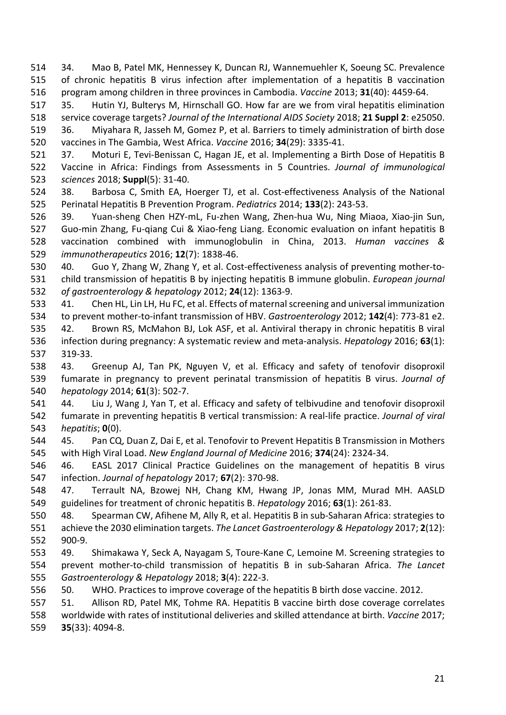34. Mao B, Patel MK, Hennessey K, Duncan RJ, Wannemuehler K, Soeung SC. Prevalence of chronic hepatitis B virus infection after implementation of a hepatitis B vaccination program among children in three provinces in Cambodia. *Vaccine* 2013; **31**(40): 4459-64.

 35. Hutin YJ, Bulterys M, Hirnschall GO. How far are we from viral hepatitis elimination service coverage targets? *Journal of the International AIDS Society* 2018; **21 Suppl 2**: e25050. 36. Miyahara R, Jasseh M, Gomez P, et al. Barriers to timely administration of birth dose

vaccines in The Gambia, West Africa. *Vaccine* 2016; **34**(29): 3335-41.

 37. Moturi E, Tevi-Benissan C, Hagan JE, et al. Implementing a Birth Dose of Hepatitis B Vaccine in Africa: Findings from Assessments in 5 Countries. *Journal of immunological sciences* 2018; **Suppl**(5): 31-40.

 38. Barbosa C, Smith EA, Hoerger TJ, et al. Cost-effectiveness Analysis of the National Perinatal Hepatitis B Prevention Program. *Pediatrics* 2014; **133**(2): 243-53.

 39. Yuan-sheng Chen HZY-mL, Fu-zhen Wang, Zhen-hua Wu, Ning Miaoa, Xiao-jin Sun, Guo-min Zhang, Fu-qiang Cui & Xiao-feng Liang. Economic evaluation on infant hepatitis B vaccination combined with immunoglobulin in China, 2013. *Human vaccines & immunotherapeutics* 2016; **12**(7): 1838-46.

 40. Guo Y, Zhang W, Zhang Y, et al. Cost-effectiveness analysis of preventing mother-to- child transmission of hepatitis B by injecting hepatitis B immune globulin. *European journal of gastroenterology & hepatology* 2012; **24**(12): 1363-9.

 41. Chen HL, Lin LH, Hu FC, et al. Effects of maternal screening and universal immunization to prevent mother-to-infant transmission of HBV. *Gastroenterology* 2012; **142**(4): 773-81 e2. 42. Brown RS, McMahon BJ, Lok ASF, et al. Antiviral therapy in chronic hepatitis B viral infection during pregnancy: A systematic review and meta-analysis. *Hepatology* 2016; **63**(1): 319-33.

 43. Greenup AJ, Tan PK, Nguyen V, et al. Efficacy and safety of tenofovir disoproxil fumarate in pregnancy to prevent perinatal transmission of hepatitis B virus. *Journal of hepatology* 2014; **61**(3): 502-7.

 44. Liu J, Wang J, Yan T, et al. Efficacy and safety of telbivudine and tenofovir disoproxil fumarate in preventing hepatitis B vertical transmission: A real-life practice. *Journal of viral hepatitis*; **0**(0).

 45. Pan CQ, Duan Z, Dai E, et al. Tenofovir to Prevent Hepatitis B Transmission in Mothers with High Viral Load. *New England Journal of Medicine* 2016; **374**(24): 2324-34.

 46. EASL 2017 Clinical Practice Guidelines on the management of hepatitis B virus infection. *Journal of hepatology* 2017; **67**(2): 370-98.

 47. Terrault NA, Bzowej NH, Chang KM, Hwang JP, Jonas MM, Murad MH. AASLD guidelines for treatment of chronic hepatitis B. *Hepatology* 2016; **63**(1): 261-83.

 48. Spearman CW, Afihene M, Ally R, et al. Hepatitis B in sub-Saharan Africa: strategies to achieve the 2030 elimination targets. *The Lancet Gastroenterology & Hepatology* 2017; **2**(12): 900-9.

 49. Shimakawa Y, Seck A, Nayagam S, Toure-Kane C, Lemoine M. Screening strategies to prevent mother-to-child transmission of hepatitis B in sub-Saharan Africa. *The Lancet Gastroenterology & Hepatology* 2018; **3**(4): 222-3.

50. WHO. Practices to improve coverage of the hepatitis B birth dose vaccine. 2012.

 51. Allison RD, Patel MK, Tohme RA. Hepatitis B vaccine birth dose coverage correlates worldwide with rates of institutional deliveries and skilled attendance at birth. *Vaccine* 2017; **35**(33): 4094-8.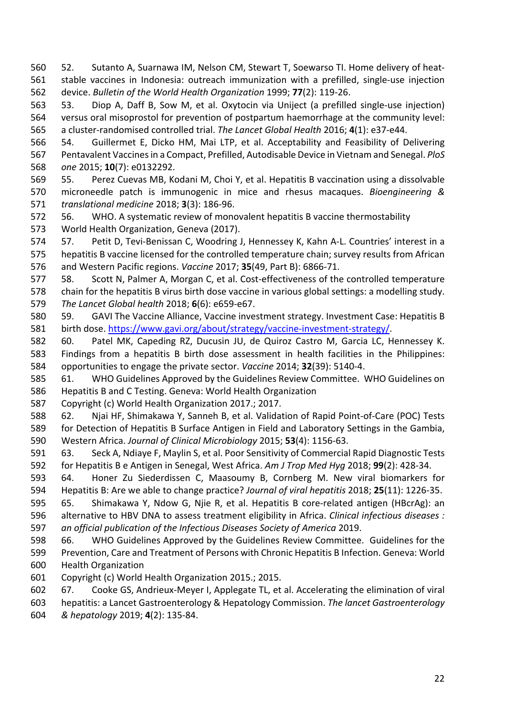52. Sutanto A, Suarnawa IM, Nelson CM, Stewart T, Soewarso TI. Home delivery of heat- stable vaccines in Indonesia: outreach immunization with a prefilled, single-use injection device. *Bulletin of the World Health Organization* 1999; **77**(2): 119-26.

 53. Diop A, Daff B, Sow M, et al. Oxytocin via Uniject (a prefilled single-use injection) versus oral misoprostol for prevention of postpartum haemorrhage at the community level: a cluster-randomised controlled trial. *The Lancet Global Health* 2016; **4**(1): e37-e44.

 54. Guillermet E, Dicko HM, Mai LTP, et al. Acceptability and Feasibility of Delivering Pentavalent Vaccines in a Compact, Prefilled, Autodisable Device in Vietnam and Senegal. *PloS one* 2015; **10**(7): e0132292.

 55. Perez Cuevas MB, Kodani M, Choi Y, et al. Hepatitis B vaccination using a dissolvable microneedle patch is immunogenic in mice and rhesus macaques. *Bioengineering & translational medicine* 2018; **3**(3): 186-96.

 56. WHO. A systematic review of monovalent hepatitis B vaccine thermostability World Health Organization, Geneva (2017).

 57. Petit D, Tevi-Benissan C, Woodring J, Hennessey K, Kahn A-L. Countries' interest in a hepatitis B vaccine licensed for the controlled temperature chain; survey results from African and Western Pacific regions. *Vaccine* 2017; **35**(49, Part B): 6866-71.

 58. Scott N, Palmer A, Morgan C, et al. Cost-effectiveness of the controlled temperature chain for the hepatitis B virus birth dose vaccine in various global settings: a modelling study. *The Lancet Global health* 2018; **6**(6): e659-e67.

 59. GAVI The Vaccine Alliance, Vaccine investment strategy. Investment Case: Hepatitis B birth dose. https://www.gavi.org/about/strategy/vaccine-investment-strategy/.

 60. Patel MK, Capeding RZ, Ducusin JU, de Quiroz Castro M, Garcia LC, Hennessey K. Findings from a hepatitis B birth dose assessment in health facilities in the Philippines: opportunities to engage the private sector. *Vaccine* 2014; **32**(39): 5140-4.

 61. WHO Guidelines Approved by the Guidelines Review Committee. WHO Guidelines on Hepatitis B and C Testing. Geneva: World Health Organization

Copyright (c) World Health Organization 2017.; 2017.

 62. Njai HF, Shimakawa Y, Sanneh B, et al. Validation of Rapid Point-of-Care (POC) Tests for Detection of Hepatitis B Surface Antigen in Field and Laboratory Settings in the Gambia, Western Africa. *Journal of Clinical Microbiology* 2015; **53**(4): 1156-63.

 63. Seck A, Ndiaye F, Maylin S, et al. Poor Sensitivity of Commercial Rapid Diagnostic Tests for Hepatitis B e Antigen in Senegal, West Africa. *Am J Trop Med Hyg* 2018; **99**(2): 428-34.

 64. Honer Zu Siederdissen C, Maasoumy B, Cornberg M. New viral biomarkers for Hepatitis B: Are we able to change practice? *Journal of viral hepatitis* 2018; **25**(11): 1226-35.

 65. Shimakawa Y, Ndow G, Njie R, et al. Hepatitis B core-related antigen (HBcrAg): an alternative to HBV DNA to assess treatment eligibility in Africa. *Clinical infectious diseases : an official publication of the Infectious Diseases Society of America* 2019.

 66. WHO Guidelines Approved by the Guidelines Review Committee. Guidelines for the Prevention, Care and Treatment of Persons with Chronic Hepatitis B Infection. Geneva: World Health Organization

Copyright (c) World Health Organization 2015.; 2015.

 67. Cooke GS, Andrieux-Meyer I, Applegate TL, et al. Accelerating the elimination of viral hepatitis: a Lancet Gastroenterology & Hepatology Commission. *The lancet Gastroenterology* 

*& hepatology* 2019; **4**(2): 135-84.